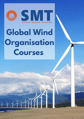

## **Global Wind Organisation Courses**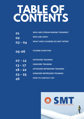## **TABLE OF CONTENTS**

- **01 WHO ARE STREAM MARINE TRAINING?**
- **02 WHO ARE GWO?**
- **03 - 04 WHAT GWO COURSES DO SMT OFFER?**
- **05-06 COURSE DURATION**
- **07 - 12 OFFSHORE TRAINING**
- **13 - 17 ONSHORE TRAINING**
- **18 - 22 OFFSHORE REFRESHER TRAINING**
- **23 - 25 ONSHORE REFRESHER TRAINING**
- **26 HOW TO CONTACT US?**

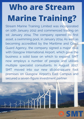## **Who are Stream Marine Training?**

Stream Marine Training Limited was incorporated on 10th January 2012 and commenced trading on 1st January 2014. The company opened its first asset, a swimming pool, in January 2014. As well as becoming accredited by the Maritime and Coast Guard Agency, the company signed a major deal with Glasgow International Airport, which gave the business a solid base on which to expand. SMT now employs a number of people and utilises multiple specialist consultants. In August 2017, SMT moved into our new 18,000-square foot premises on Glasgow Airport's East Campus and secured a seven-figure investment partner.

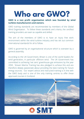## **Who are GWO?**

#### **GWO is a non profit organisation which was founded by wind turbine manufacturers and owners.**

GWO training standards are recommended by members of the Global Wind Organisation. To follow these standards and criteria, the certified training providers are seen as capable and skilled.

The aim of the members of GWO is to have an injury free work environment within the wind turbine industry and has set out common international standards for all to follow.

GWO is governed by an organisational structure which is overseen by a general assembly.

According to the UK Government, Britain is one of the world leaders for wind generation, in particular offshore wind. The UK Government has committed to achieving 'net zero' greenhouse gas emissions by the year 2050. Stream Marine Training has also pledged to achieve this and are therefore deeply passionate about providing the best training for future energy sources. Our expert advice and instructed training is in line with the GWO body and is one of the only training centres to offer these approved courses in Scotland.



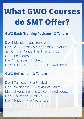## **What GWO Courses do SMT Offer?**

#### **GWO Basic Training Package - Offshore**

Day 1 Monday – Sea Survival Day 2 & 3 Tuesday & Wednesday – Working at Height & Manual Handling (this is a combined course) Day 4 Thursday – First Aid Day 5 Friday 8am - 12pm – Fire Awareness

#### **GWO Refresher - Offshore**

Day 1 Tuesday – Sea Survival Day 2 Wednesday – Working at Height & Manual Handling (this is a combined course) Day 3 Thursday – First Aid Day 4 Friday – Fire Awareness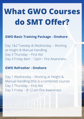## **What GWO Courses do SMT Offer?**

#### **GWO Basic Training Package - Onshore**

Day 1&2 Tuesday & Wednesday – Working at Height & Manual Handling Day 3 Thursday – First Aid Day 4 Friday 8am - 12pm - Fire Awareness

#### **GWO Refresher - Onshore**

Day 1 Wednesday – Working at Height & Manual Handling (this is a combined course) Day 2 Thursday – First Aid Day 3 Friday – 8-12 pm Fire Awareness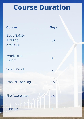### **Course Duration**

| <b>Course</b>                              | <b>Days</b> |
|--------------------------------------------|-------------|
| <b>Basic Safety</b><br>Training<br>Package | 4.5         |
| Working at<br>Height                       | 1.5         |
| <b>Sea Survival</b>                        | $\mathbf 1$ |
| <b>Manual Handling</b>                     | 0.5         |
| <b>Fire Awareness</b>                      | 0.5         |
| <b>First Aid</b>                           |             |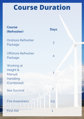### **Course Duration**

| <b>Course</b><br>(Refresher)                               | <b>Days</b>  |
|------------------------------------------------------------|--------------|
| <b>Onshore Refresher</b><br>Package                        | 3            |
| <b>Offshore Refresher</b><br>Package                       | 4            |
| Working at<br>Height &<br>Manual<br>Handling<br>(Combined) | 1            |
| <b>Sea Survival</b>                                        |              |
| <b>Fire Awareness</b>                                      | 0.5          |
| <b>First Aid</b>                                           | $\mathbf{1}$ |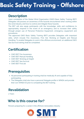### **Basic Safety Training - [Offshore](https://streammarinetraining.com/arlo/events/211-gwo-basic-safety-training-bst/)**

#### **Description**

Upon completion of the Global Wind Organisation (GWO) Basic Safety Training (BST) Delegates will possess an awareness of the hazards encountered when working within the wind industry and how to control and mitigate these hazards.

The BST will also equip participants with the knowledge, skills and confidence to appropriately respond in the event of an emergency and to increase their safety through proper use of Personal Protective Equipment, emergency equipment and procedures.

The approved GWO Basic Safety Training (BST) provides Delegates with important skills, which include Fire Awareness, First Aid, Working at Heights and Manual Handling. To enable Delegates to work in the offshore environment, an additional GWO Sea Survival training shall be completed.

#### **Certification**

- GWO BST Fire Awareness
- GWO BST Manual Handling
- GWO BST Working at Height
- GWO BST Sea Survival
- GWO BST First aid

#### **Prerequisites**

- All personnel participating in training shall be medically fit and capable of fully participating.
- The Delegates shall also have a personal Delegate profile in WINDA and provide their own WINDA ID prior to completing the BST training.

#### **Revalidation**

2 Years

#### **Who is this course for?**

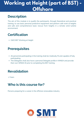### **[Working](https://streammarinetraining.com/arlo/events/70-gwo-working-at-height-wah/) at Height (part of BST) - Offshore**

#### **Description**

The aim of this module is to qualify the participants, through theoretical and practical training, to use basic personal protective equipment and perform safe work at heights and safe and comprehensive basic rescue from heights in a remote wind turbine environment.

#### **Certification**

GWO BST Working at Height

#### **Prerequisites**

- All personnel participating in the training shall be medically fit and capable of fully participating.
- The Delegates shall also have a personal Delegate profile in WINDA and provide their own WINDA ID prior to completing the BST training.

#### **Revalidation**

2 Years

#### **Who is this course for?**

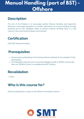### **Manual Handling (part of BST) - Offshore**

#### **Description**

The aim of this Module is to encourage positive Manual Handling and ergonomic behaviour, encourage delegates to consider alternatives to manual handling through planning and to train delegates ability to perform Manual Handling tasks in a safe manner in the wind turbine industry/environment.

#### **Certification**

GWO BST Manual Handling

#### **Prerequisites**

- All personnel participating in the training shall be medically fit and capable of fully participating.
- The Delegates shall also have a personal Delegate profile in WINDA and provide their own WINDA ID prior to completing the BST training.

#### **Revalidation**

2 Years

#### **Who is this course for?**

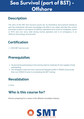### **Sea Survival (part of BST) - Offshore**

#### **Description**

The aims of this BST Sea Survival course are, by theoretical and practical training to give the participants the basic knowledge and skills to act safely and take the correct preventive actions in all aspects of offshore operations from shore to installation vessel or WTG and vice versa, both during normal operation and in an emergency in an offshore wind energy environment.

#### **Certification**

GWO BST Sea Survival

#### **Prerequisites**

- All personnel participating in the training shall be medically fit and capable of fully participating.
- The Delegates shall also have a personal Delegate profile in WINDA and provide their own WINDA ID prior to completing the BST training.

#### **Revalidation**

2 Years

#### **Who is this course for?**

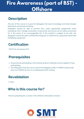### **Fire Awareness (part of BST) - Offshore**

#### **Description**

The aim of this course is to give the delegates the basic knowledge and skills through theoretical and practical training.

Delegates should be able to prevent fires, make appropriate judgements when evaluating a fire, manage evacuation of personnel and ensure all are safely accounted for in the event of an unmanageable fire. If the incident is judged to be safe, the delegates should be able to efficiently extinguish an initial fire by using basic hand held firefighting equipment.

#### **Certification**

GWO Fire Awareness (FA)

#### **Prerequisites**

- All personnel participating in the training shall be medically fit and capable of fully participating.
- The Delegates shall also have a personal Delegate profile in WINDA and provide their own WINDA ID prior to completing the BST training.

#### **Revalidation**

2 Years

#### **Who is this course for?**

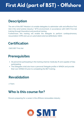### **First Aid (part of BST) - Offshore**

#### **Description**

The aim of this BST Module is to enable delegates to administer safe and effective First Aid in the wind turbine industry/ WTG environment, in accordance with GWO First Aid training through theoretical and practical training.

Furthermore, this training will enable the delegate to perform cardiopulmonary resuscitation (CPR) and use an automated external defibrillator (AED).

#### **Certification**

GWO BST First Aid

#### **Prerequisites**

- All personnel participating in the training shall be medically fit and capable of fully participating.
- The Delegates shall also have a personal Delegate profile in WINDA and provide their own WINDA ID prior to completing the BST training.

#### **Revalidation**

2 Years

#### **Who is this course for?**

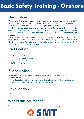### **Basic Safety Training - Onshore**

#### **Description**

Upon completion of the Global Wind Organisation (GWO) Basic Safety Training (BST) Delegates will possess an awareness of the hazards encountered when working within the wind industry and how to control and mitigate these hazards.

The BST will also equip participants with the knowledge, skills and confidence to appropriately respond in the event of an emergency and to increase their safety through proper use of Personal Protective Equipment, emergency equipment and procedures.

The approved GWO Basic Safety Training (BST) provides Delegates with important skills, which include Fire Awareness, First Aid, Working at Heights and Manual Handling. To enable Delegates to work in the offshore environment, an additional GWO Sea Survival training shall be completed.

#### **Certification**

- GWO BST Fire Awareness
- GWO BST Manual Handling
- GWO BST Working at Height
- GWO BST Sea Survival
- GWO BST First aid

#### **Prerequisites**

- All personnel participating in training shall be medically fit and capable of fully participating.
- The Delegates shall also have a personal Delegate profile in WINDA and provide their own WINDA ID prior to completing the BST training.

#### **Revalidation**

2 Years

#### **Who is this course for?**

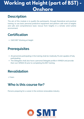### **Working at Height (part of BST) - Onshore**

#### **Description**

The aim of this module is to qualify the participants, through theoretical and practical training, to use basic personal protective equipment and perform safe work at heights and safe and comprehensive basic rescue from heights in a remote wind turbine environment.

#### **Certification**

GWO BST Working at Height

#### **Prerequisites**

- All personnel participating in the training shall be medically fit and capable of fully participating.
- The Delegates shall also have a personal Delegate profile in WINDA and provide their own WINDA ID prior to completing the BST training.

#### **Revalidation**

2 Years

#### **Who is this course for?**

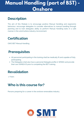### **Manual Handling (part of BST) - Onshore**

#### **Description**

The aim of this Module is to encourage positive Manual Handling and ergonomic behaviour, encourage delegates to consider alternatives to manual handling through planning and to train delegates ability to perform Manual Handling tasks in a safe manner in the wind turbine industry/environment.

#### **Certification**

GWO BST Manual Handling

#### **Prerequisites**

- All personnel participating in the training shall be medically fit and capable of fully participating.
- The Delegates shall also have a personal Delegate profile in WINDA and provide their own WINDA ID prior to completing the BST training.

#### **Revalidation**

2 Years

#### **Who is this course for?**

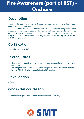### **Fire Awareness (part of BST) - Onshore**

#### **Description**

The aim of this course is to give the delegates the basic knowledge and skills through theoretical and practical training.

Delegates should be able to prevent fires, make appropriate judgements when evaluating a fire, manage evacuation of personnel and ensure all are safely accounted for in the event of an unmanageable fire. If the incident is judged to be safe, the delegates should be able to efficiently extinguish an initial fire by using basic hand held firefighting equipment.

#### **Certification**

GWO Fire Awareness (FA)

#### **Prerequisites**

- All personnel participating in the training shall be medically fit and capable of fully participating.
- The Delegates shall also have a personal Delegate profile in WINDA and provide their own WINDA ID prior to completing the BST training.

#### **Revalidation**

2 Years

#### **Who is this course for?**

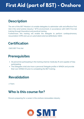### **First Aid (part of BST) - Onshore**

#### **Description**

The aim of this BST Module is to enable delegates to administer safe and effective First Aid in the wind turbine industry/ WTG environment, in accordance with GWO First Aid training through theoretical and practical training.

Furthermore, this training will enable the delegate to perform cardiopulmonary resuscitation (CPR) and use an automated external defibrillator (AED).

#### **Certification**

GWO BST First Aid

#### **Prerequisites**

- All personnel participating in the training shall be medically fit and capable of fully participating.
- The Delegates shall also have a personal Delegate profile in WINDA and provide their own WINDA ID prior to completing the BST training.

#### **Revalidation**

2 Years

#### **Who is this course for?**

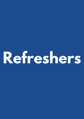# **Refreshers**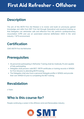#### **Description**

The aim of this BSTR First Aid Module is to review and build on previously gained knowledge and skills from BST First Aid through theoretical and practical training so that Delegates can administer safe and effective First Aid, perform cardiopulmonary resuscitation (CPR) and use an automated external defibrillator (AED) in the wind industry / WTG environment.

#### **Certification**

GWO BSTR First Aid Refresher

#### **Prerequisites**

- All personnel participating in Refresher Training shall be medically fit and capable of fully participating.
- Delegates shall possess valid BST/ BSTR certificates or training records in WINDA for First Aid prior to attending BSTR training.
- The Delegates shall also have a personal Delegate profile in WINDA and provide their own WINDA ID prior to completing the BST training.

#### **Revalidation**

2 Years

#### **Who is this course for?**

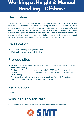### **Working at Height & Manual Handling - Offshore**

#### **Description**

The aim of this module is to review and build on previously gained knowledge and skills through theoretical and practical training so that delegates can use basic personal protective equipment and perform safe work at heights and safe and comprehensive basic rescue from heights. Furthermore, to encourage positive manual handling and ergonomic behaviour, encourage delegates to consider alternatives to manual handling through planning and to train delegates ability to perform Manual Handling tasks in a safe manner in the wind turbine industry/environment.

#### **Certification**

- GWO BSTR Working at Height Refresher
- GWO BSTR Manual Handling Refresher

#### **Prerequisites**

- All personnel participating in Refresher Training shall be medically fit and capable of fully participating.
- Furthermore, Delegates shall possess valid BST/ BSTR certificates or training records in WINDA for Working at height and Manual Handling prior to attending BSTR training.
- The Delegates shall also have a personal Delegate profile in WINDA and provide their own WINDA ID prior to completing the BST training.

#### **Revalidation**

2 Years

#### **Who is this course for?**

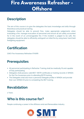### **Fire Awareness Refresher - Offshore**

#### **Description**

The aim of this course is to give the delegates the basic knowledge and skills through theoretical and practical training.

Delegates should be able to prevent fires, make appropriate judgements when evaluating a fire, manage evacuation of personnel and ensure all are safely accounted for in the event of an unmanageable fire. If the incident is judged to be safe, the delegates should be able to efficiently extinguish an initial fire by using basic hand held firefighting equipment.

#### **Certification**

GWO Fire Awareness Refresher (FAWR)

#### **Prerequisites**

- All personnel participating in Refresher Training shall be medically fit and capable of fully participating.
- Delegates shall possess valid BST/BSTR certificates or training records in WINDA for the Fire Awareness prior to attending BSTR training.
- The Delegates shall also have a personal Delegate profile in WINDA and provide their own WINDA ID prior to completing the BST training.

#### **Revalidation**

2 Years

#### **Who is this course for?**

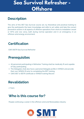### **Sea Survival Refresher - Offshore**

#### **Description**

The aims of this BST Sea Survival course are, by theoretical and practical training to give the participants the basic knowledge and skills to act safely and take the correct preventive actions in all aspects of offshore operations from shore to installation vessel or WTG and vice versa, both during normal operation and in an emergency in an offshore wind energy environment.

#### **Certification**

GWO BSTR Sea Survival Refresher

#### **Prerequisites**

- All personnel participating in Refresher Training shall be medically fit and capable of fully participating.
- The Delegates shall also have a personal Delegate profile in WINDA and provide their own WINDA ID prior to completing the BST training.
- GWO BST or BSTR certificate or WINDA training Record

#### **Revalidation**

2 Years

#### **Who is this course for?**

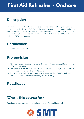#### **Description**

The aim of this BSTR First Aid Module is to review and build on previously gained knowledge and skills from BST First Aid through theoretical and practical training so that Delegates can administer safe and effective First Aid, perform cardiopulmonary resuscitation (CPR) and use an automated external defibrillator (AED) in the wind industry / WTG environment.

#### **Certification**

GWO BSTR First Aid Refresher

#### **Prerequisites**

- All personnel participating in Refresher Training shall be medically fit and capable of fully participating.
- Delegates shall possess valid BST/ BSTR certificates or training records in WINDA for First Aid prior to attending BSTR training.
- The Delegates shall also have a personal Delegate profile in WINDA and provide their own WINDA ID prior to completing the BST training.

#### **Revalidation**

2 Years

#### **Who is this course for?**

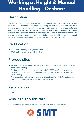### **Working at Height & Manual Handling - Onshore**

#### **Description**

The aim of this module is to review and build on previously gained knowledge and skills through theoretical and practical training so that delegates can use basic personal protective equipment and perform safe work at heights and safe and comprehensive basic rescue from heights. Furthermore, to encourage positive manual handling and ergonomic behaviour, encourage delegates to consider alternatives to manual handling through planning and to train delegates ability to perform Manual Handling tasks in a safe manner in the wind turbine industry/environment.

#### **Certification**

- GWO BSTR Working at Height Refresher
- GWO BSTR Manual Handling Refresher

#### **Prerequisites**

- All personnel participating in Refresher Training shall be medically fit and capable of fully participating.
- Furthermore, Delegates shall possess valid BST/ BSTR certificates or training records in WINDA for Working at height and Manual Handling prior to attending BSTR training.
- The Delegates shall also have a personal Delegate profile in WINDA and provide their own WINDA ID prior to completing the BST training.

#### **Revalidation**

2 Years

#### **Who is this course for?**

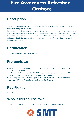### **Fire Awareness Refresher - Onshore**

#### **Description**

The aim of this course is to give the delegates the basic knowledge and skills through theoretical and practical training.

Delegates should be able to prevent fires, make appropriate judgements when evaluating a fire, manage evacuation of personnel and ensure all are safely accounted for in the event of an unmanageable fire. If the incident is judged to be safe, the delegates should be able to efficiently extinguish an initial fire by using basic hand held firefighting equipment.

#### **Certification**

GWO Fire Awareness Refresher (FAWR)

#### **Prerequisites**

- All personnel participating in Refresher Training shall be medically fit and capable of fully participating.
- Delegates shall possess valid BST/ BSTR certificates or training records in WINDA for the Fire Awareness prior to attending BSTR training.
- The Delegates shall also have a personal Delegate profile in WINDA and provide their own WINDA ID prior to completing the BST training.

#### **Revalidation**

2 Years

#### **Who is this course for?**